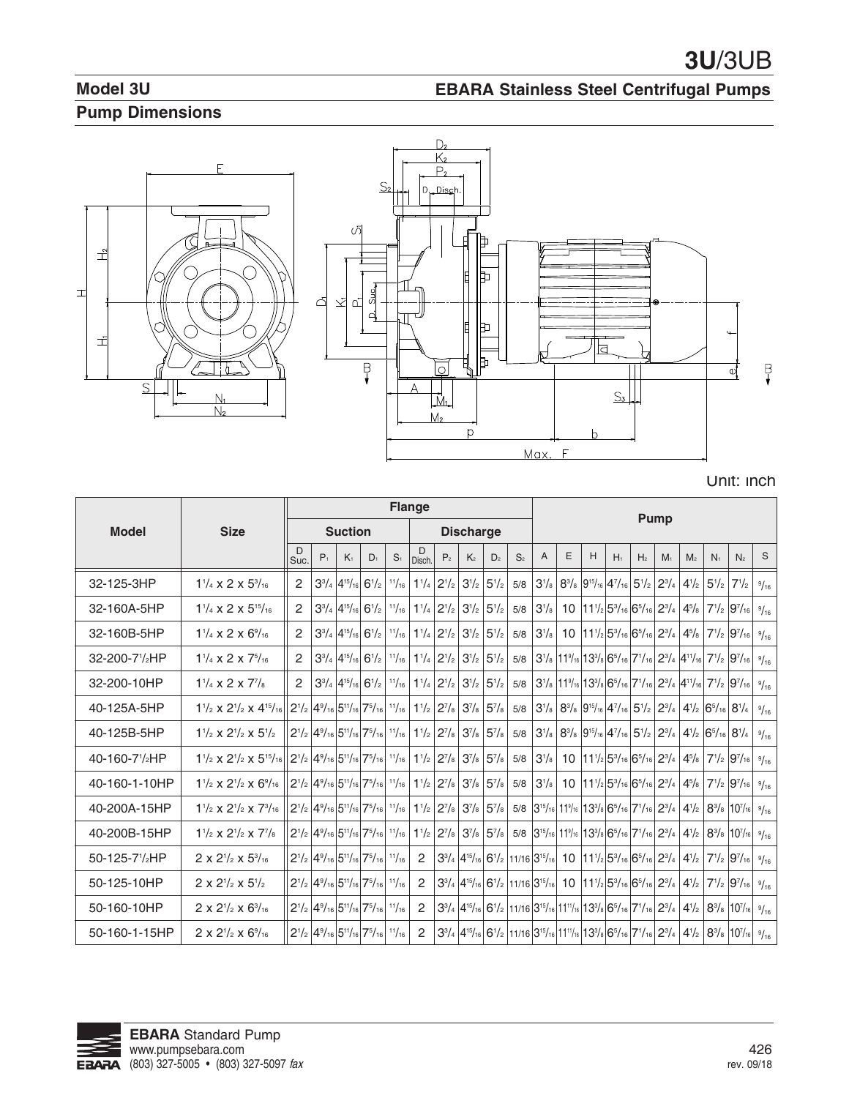# **Model 3U Pump Dimensions**

# Ē 그  $\equiv$ 킈 J  $\Box$  $S$  $\frac{N_1}{N_2}$



**EBARA Stainless Steel Centrifugal Pumps**

| Unit: inch |  |  |  |  |  |
|------------|--|--|--|--|--|
|------------|--|--|--|--|--|

|                            |                                                                                                                        | <b>Flange</b>                            |       |                                                                                                         |           |                |                |                                                                                                                                                                                                    |                                                                                                                  |                |                | <b>Pump</b>  |   |   |                                                                                                                                                                                                  |                                         |                |                |                                                                             |                                                                                                                                                                                                                                              |      |
|----------------------------|------------------------------------------------------------------------------------------------------------------------|------------------------------------------|-------|---------------------------------------------------------------------------------------------------------|-----------|----------------|----------------|----------------------------------------------------------------------------------------------------------------------------------------------------------------------------------------------------|------------------------------------------------------------------------------------------------------------------|----------------|----------------|--------------|---|---|--------------------------------------------------------------------------------------------------------------------------------------------------------------------------------------------------|-----------------------------------------|----------------|----------------|-----------------------------------------------------------------------------|----------------------------------------------------------------------------------------------------------------------------------------------------------------------------------------------------------------------------------------------|------|
| <b>Model</b>               | <b>Size</b>                                                                                                            |                                          |       | <b>Suction</b>                                                                                          |           |                |                |                                                                                                                                                                                                    | <b>Discharge</b>                                                                                                 |                |                |              |   |   |                                                                                                                                                                                                  |                                         |                |                |                                                                             |                                                                                                                                                                                                                                              |      |
|                            |                                                                                                                        | D<br>Suc.                                | $P_1$ | K <sub>1</sub>                                                                                          | $D_1$     | S <sub>1</sub> | D<br>Disch.    | P <sub>2</sub>                                                                                                                                                                                     | K <sub>2</sub>                                                                                                   | D <sub>2</sub> | S <sub>2</sub> | A            | E | H | $H_1$                                                                                                                                                                                            | H <sub>2</sub>                          | M <sub>1</sub> | M <sub>2</sub> | N <sub>1</sub>                                                              | N <sub>2</sub>                                                                                                                                                                                                                               | S    |
| 32-125-3HP                 | $1\frac{1}{4}$ x 2 x $5\frac{3}{16}$                                                                                   | 2                                        |       | $3^{3}/_{4}$ 4 <sup>15</sup> / <sub>16</sub>                                                            | $6^{1/2}$ | 11/16          | $1^{1}/_{4}$   | $2^{1/2}$                                                                                                                                                                                          | $3^{1/2}$                                                                                                        | $5^{1/2}$      | 5/8            | $3^{1}/_{8}$ |   |   | $8^{3}/_8$ 9 <sup>15</sup> / <sub>16</sub> 4 <sup>7</sup> / <sub>16</sub>                                                                                                                        | $5^{1/2}$                               | $2^{3}/_{4}$   | $4^{1}/_{2}$   |                                                                             | $5^{1}/_{2}$ 7 <sup>1</sup> / <sub>2</sub>                                                                                                                                                                                                   | 9/16 |
| 32-160A-5HP                | $1\frac{1}{4}$ x 2 x $5\frac{15}{16}$                                                                                  | $\overline{2}$                           |       | $3^{3}/_{4}$ 4 <sup>15</sup> / <sub>16</sub> 6 <sup>1</sup> / <sub>2</sub>                              |           | 11/16          | $1^{1}/_{4}$   | $2^{1/2}$                                                                                                                                                                                          | $3^{1/2}$                                                                                                        | $5^{1/2}$      | 5/8            | $3^{1}/_{8}$ |   |   | 10 $11^{1/2}$ 5 <sup>3</sup> / <sub>16</sub> 6 <sup>5</sup> / <sub>16</sub> 2 <sup>3</sup> / <sub>4</sub>                                                                                        |                                         |                | $4^{5}/_{8}$   |                                                                             | $7^{1/2}$ 97/16                                                                                                                                                                                                                              | 9/16 |
| 32-160B-5HP                | $1\frac{1}{4}$ x 2 x $6\frac{9}{16}$                                                                                   | $\overline{2}$                           |       | $3^{3}/_{4}$ 4 <sup>15</sup> / <sub>16</sub> 6 <sup>1</sup> / <sub>2</sub>                              |           | 11/16          | $ 1^{1}/_{4} $ | $2^{1/2}$                                                                                                                                                                                          | $3^{1/2}$                                                                                                        | $5^{1}/2$      | 5/8            | $3^{1}/_{8}$ |   |   | 10 $11\frac{1}{2}$ 5 <sup>3</sup> / <sub>16</sub> 6 <sup>5</sup> / <sub>16</sub> 2 <sup>3</sup> / <sub>4</sub>                                                                                   |                                         |                | $4^{5}/_{8}$   |                                                                             | $7^{1/2}$ 9 <sup>7</sup> / <sub>16</sub>                                                                                                                                                                                                     | 9/16 |
| 32-200-71/ <sub>2</sub> HP | $1\frac{1}{4}$ x 2 x $7\frac{5}{16}$                                                                                   | $\overline{2}$                           |       | $3^{3}/_{4}$ 4 <sup>15</sup> / <sub>16</sub> 6 <sup>1</sup> / <sub>2</sub>                              |           | 11/16          | $1^{1/4}$      | $2^{1/2}$                                                                                                                                                                                          | $3^{1/2}$                                                                                                        | $5^{1}/2$      | 5/8            |              |   |   | $ 3^{1}/_{8} 11^{9}/_{16} 13^{3}/_{8} 6^{5}/_{16} 7^{1}/_{16} 2^{3}/_{4} 4^{11}/_{16} $                                                                                                          |                                         |                |                |                                                                             | $7^{1/2}$ 9 <sup>7</sup> / <sub>16</sub>                                                                                                                                                                                                     | 9/16 |
| 32-200-10HP                | $1\frac{1}{4}$ x 2 x 7 $\frac{7}{8}$                                                                                   | $\overline{2}$                           |       | $3^{3}/_{4}$ 4 <sup>15</sup> / <sub>16</sub> 6 <sup>1</sup> / <sub>2</sub>                              |           | 11/16          | $1\frac{1}{4}$ | $ 2^{1/2} $                                                                                                                                                                                        | $3\frac{1}{2}$                                                                                                   | $5^{1}/2$      | 5/8            |              |   |   |                                                                                                                                                                                                  |                                         |                |                |                                                                             | $ 3^{1}/_{8} 11^{9}/_{16} 13^{3}/_{8} 6^{5}/_{16} 7^{1}/_{16} 2^{3}/_{4} 4^{11}/_{16} 7^{1}/_{2} 9^{7}/_{16} $                                                                                                                               | 9/16 |
| 40-125A-5HP                | $1\frac{1}{2} \times 2\frac{1}{2} \times 4\frac{15}{16}$                                                               | $  2^{1/2}  4^{9/16} 5^{11/16} 7^{5/16}$ |       |                                                                                                         |           | 11/16          |                | $1\frac{1}{2}$ 2 <sup>7</sup> / <sub>8</sub>                                                                                                                                                       | $3\frac{7}{8}$                                                                                                   | $5^{7}/s$      | 5/8            |              |   |   | $3^{1/8}$ 8 <sup>3</sup> / <sub>8</sub> 9 <sup>15</sup> / <sub>16</sub> 4 <sup>7</sup> / <sub>16</sub>                                                                                           | $5^{1/2}$ 2 <sup>3</sup> / <sub>4</sub> |                |                | $4\frac{1}{2}$ 6 <sup>5</sup> / <sub>16</sub> 8 <sup>1</sup> / <sub>4</sub> |                                                                                                                                                                                                                                              | 9/16 |
| 40-125B-5HP                | $1\frac{1}{2}$ x $2\frac{1}{2}$ x $5\frac{1}{2}$                                                                       |                                          |       | $2^{1/2}$ 4 <sup>9</sup> / <sub>16</sub> 5 <sup>11</sup> / <sub>16</sub> 7 <sup>5</sup> / <sub>16</sub> |           | 11/16          |                | $1\frac{1}{2}$ 2 <sup>7</sup> / <sub>8</sub>                                                                                                                                                       | $3^{7}/_{8}$                                                                                                     | $5^{7}/s$      | 5/8            | $ 3^{1}/_8 $ |   |   | $ 8^{3}/_8 9^{15}/_{16} 4^{7}/_{16} 5^{1}/_2 2^{3}/_4 $                                                                                                                                          |                                         |                |                | $4\frac{1}{2}$ 6 <sup>5</sup> / <sub>16</sub> 8 <sup>1</sup> / <sub>4</sub> |                                                                                                                                                                                                                                              | 9/16 |
| 40-160-71/ <sub>2</sub> HP | $1\frac{1}{2}$ x $2\frac{1}{2}$ x $5\frac{15}{16}$ 2 $\frac{1}{2}$ 4 $\frac{9}{16}$ 5 $\frac{11}{16}$ 7 $\frac{5}{16}$ |                                          |       |                                                                                                         |           |                |                | $11/16$   $11/2$   $27/8$                                                                                                                                                                          | $3^{7}/_{8}$                                                                                                     | $5^{7}/s$      | 5/8            | $ 3^{1}/_8 $ |   |   | 10 $ 11^{1/2} 5^{3/16} 6^{5/16} 2^{3/4}$                                                                                                                                                         |                                         |                | $4^{5}/_{8}$   |                                                                             | $7^{1/2}$ 9 <sup>7</sup> / <sub>16</sub>                                                                                                                                                                                                     | 9/16 |
| 40-160-1-10HP              | $1\frac{1}{2} \times 2\frac{1}{2} \times 6\frac{9}{16}$                                                                |                                          |       |                                                                                                         |           |                |                | $2^{1/2}$ 4 <sup>9</sup> / <sub>16</sub> 5 <sup>11</sup> / <sub>16</sub> 7 <sup>5</sup> / <sub>16</sub> 1 <sup>1</sup> / <sub>16</sub> 1 <sup>1</sup> / <sub>2</sub> 2 <sup>7</sup> / <sub>8</sub> | $3^7/s$                                                                                                          | $5\frac{7}{8}$ | 5/8            | $ 3^{1}/_8 $ |   |   | 10 $11^{1/2}$ 5 <sup>3</sup> / <sub>16</sub> 6 <sup>5</sup> / <sub>16</sub> 2 <sup>3</sup> / <sub>4</sub>                                                                                        |                                         |                | $4^{5}/_8$     |                                                                             | $7^{1/2}$ 9 <sup>7</sup> / <sub>16</sub>                                                                                                                                                                                                     | 9/16 |
| 40-200A-15HP               | $1\frac{1}{2}$ x $2\frac{1}{2}$ x $7\frac{3}{16}$                                                                      |                                          |       |                                                                                                         |           |                |                | $2^{1/2}$ 4 <sup>9</sup> / <sub>16</sub> 5 <sup>11</sup> / <sub>16</sub> 7 <sup>5</sup> / <sub>16</sub> $1^{1/16}$ 1 <sup>1</sup> / <sub>2</sub> 2 <sup>7</sup> / <sub>8</sub>                     | $3^7/s$                                                                                                          | $5\frac{7}{8}$ |                |              |   |   | $5/8$ 3 <sup>15</sup> / <sub>16</sub> 11 <sup>9</sup> / <sub>16</sub> 13 <sup>3</sup> / <sub>8</sub> 6 <sup>5</sup> / <sub>16</sub> 7 <sup>1</sup> / <sub>16</sub> 2 <sup>3</sup> / <sub>4</sub> |                                         |                | $4^{1/2}$      |                                                                             | $8^{3}/_8$ 10 <sup>7</sup> / <sub>16</sub>                                                                                                                                                                                                   | 9/16 |
| 40-200B-15HP               | $1\frac{1}{2}$ x $2\frac{1}{2}$ x $7\frac{7}{8}$                                                                       |                                          |       | $2^{1/2}$ 4 <sup>9</sup> / <sub>16</sub> 5 <sup>11</sup> / <sub>16</sub> 7 <sup>5</sup> / <sub>16</sub> |           | 11/16          |                | $1\frac{1}{2}$ 2 <sup>7</sup> / <sub>8</sub>                                                                                                                                                       | $3^{7}/_{8}$                                                                                                     | $5^{7}/_{8}$   |                |              |   |   | $5/8$ 3 <sup>15</sup> / <sub>16</sub> 11 <sup>9</sup> / <sub>16</sub> 13 <sup>3</sup> / <sub>8</sub> 6 <sup>5</sup> / <sub>16</sub> 7 <sup>1</sup> / <sub>16</sub> 2 <sup>3</sup> / <sub>4</sub> |                                         |                | $4^{1/2}$      |                                                                             | $8^{3}/_8$ 10 <sup>7</sup> / <sub>16</sub>                                                                                                                                                                                                   | 9/16 |
| 50-125-71/ <sub>2</sub> HP | $2 \times 2^{1/2} \times 5^{3/16}$                                                                                     |                                          |       | $2^{1/2}$ 4 <sup>9</sup> / <sub>16</sub> 5 <sup>11</sup> / <sub>16</sub> 7 <sup>5</sup> / <sub>16</sub> |           | 11/16          | 2              |                                                                                                                                                                                                    | $3^{3}/_{4}$ 4 <sup>15</sup> / <sub>16</sub> 6 <sup>1</sup> / <sub>2</sub> 11/16 3 <sup>15</sup> / <sub>16</sub> |                |                |              |   |   | 10 $11^{1/2}$ 5 <sup>3</sup> / <sub>16</sub> 6 <sup>5</sup> / <sub>16</sub> 2 <sup>3</sup> / <sub>4</sub>                                                                                        |                                         |                | $4^{1}/_{2}$   |                                                                             | $7^{1/2}$ 9 <sup>7</sup> / <sub>16</sub>                                                                                                                                                                                                     | 9/16 |
| 50-125-10HP                | $2 \times 2^{1/2} \times 5^{1/2}$                                                                                      |                                          |       | $2^{1/2}$ 4 <sup>9</sup> / <sub>16</sub> 5 <sup>11</sup> / <sub>16</sub> 7 <sup>5</sup> / <sub>16</sub> |           | 11/16          | 2              |                                                                                                                                                                                                    | $3^{3}/_{4}$ 4 <sup>15</sup> / <sub>16</sub> 6 <sup>1</sup> / <sub>2</sub> 11/16 3 <sup>15</sup> / <sub>16</sub> |                |                |              |   |   | 10 $11^{1/2}$ 5 <sup>3</sup> / <sub>16</sub> 6 <sup>5</sup> / <sub>16</sub> 2 <sup>3</sup> / <sub>4</sub>                                                                                        |                                         |                | $4\frac{1}{2}$ |                                                                             | $7^{1/2}$ 9 <sup>7</sup> / <sub>16</sub>                                                                                                                                                                                                     | 9/16 |
| 50-160-10HP                | $2 \times 2^{1/2} \times 6^{3/16}$                                                                                     |                                          |       | $2^{1/2}$ 4 <sup>9</sup> / <sub>16</sub> 5 <sup>11</sup> / <sub>16</sub> 7 <sup>5</sup> / <sub>16</sub> |           | 11/16          | 2              |                                                                                                                                                                                                    |                                                                                                                  |                |                |              |   |   | $3^{3}/_{4}$ $4^{15}/_{16}$ $6^{1}/_{2}$ $11/16$ $3^{15}/_{16}$ $11^{11}/_{16}$ $13^{3}/_{8}$ $6^{5}/_{16}$ $7^{1}/_{16}$ $2^{3}/_{4}$                                                           |                                         |                | $4^{1/2}$      |                                                                             | $8^{3}/_8$ 10 <sup>7</sup> / <sub>16</sub>                                                                                                                                                                                                   | 9/16 |
| 50-160-1-15HP              | $2 \times 2^{1/2} \times 6^{9/16}$                                                                                     |                                          |       | $2^{1/2}$ 4 <sup>9</sup> / <sub>16</sub> 5 <sup>11</sup> / <sub>16</sub> 7 <sup>5</sup> / <sub>16</sub> |           | 11/16          | 2              |                                                                                                                                                                                                    |                                                                                                                  |                |                |              |   |   |                                                                                                                                                                                                  |                                         |                |                |                                                                             | $3^{3}/_{4}\left 4^{15}/_{16}\right 6^{1}/_{2}\left 11/16\right 3^{15}/_{16}\left 11^{11}/_{16}\right 13^{3}/_{8}\left 6^{5}/_{16}\right 7^{1}/_{16}\left 2^{3}/_{4}\right 4^{1}/_{2}\left 8^{3}/_{8}\right 10^{7}/_{16}\left 9\right>_{16}$ |      |

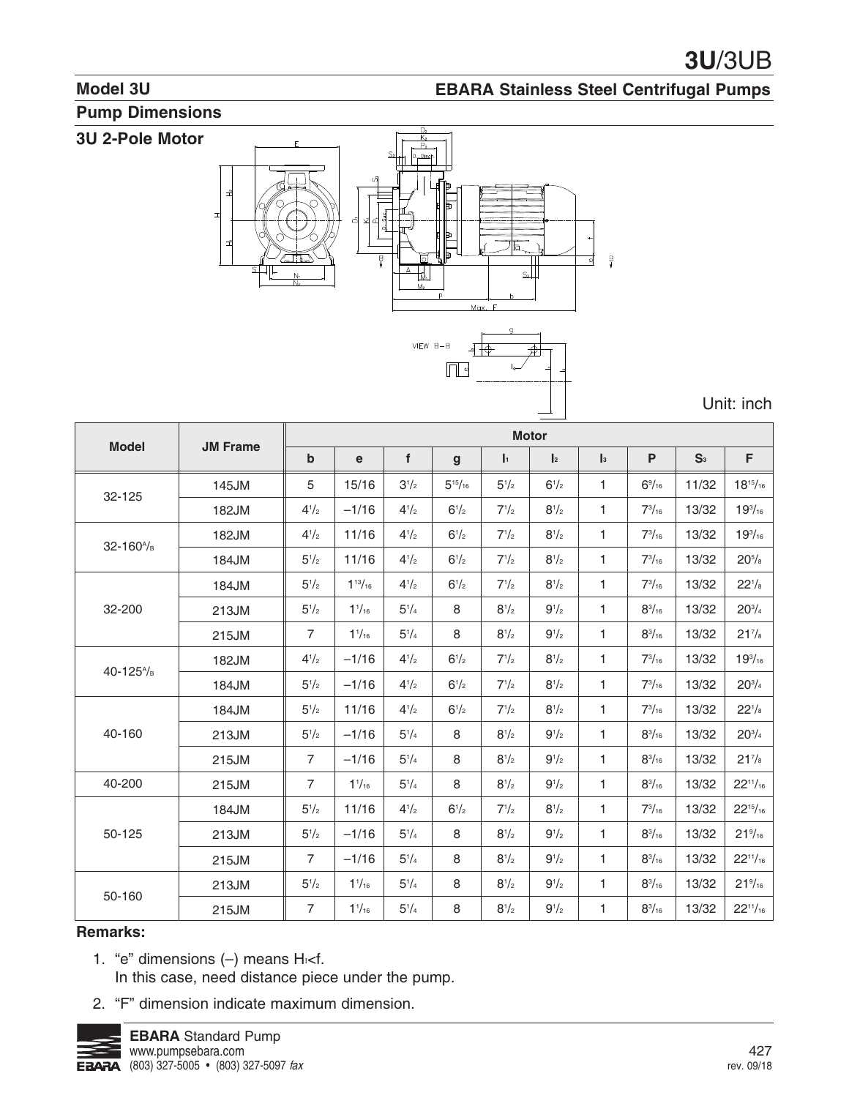#### **Model 3U**

#### **EBARA Stainless Steel Centrifugal Pumps**

### **Pump Dimensions**

#### 3U 2-Pole Motor



Unit: inch

| <b>Model</b>                       | <b>JM Frame</b> |                           |                    |           |                |           | <b>Motor</b>         |              |                 |                |                     |
|------------------------------------|-----------------|---------------------------|--------------------|-----------|----------------|-----------|----------------------|--------------|-----------------|----------------|---------------------|
|                                    |                 | $\boldsymbol{\mathsf{b}}$ | $\mathbf e$        | f         | $\mathbf{g}$   | h.        | $\pmb{\mathsf{l}}_2$ | $\ _3$       | ${\sf P}$       | S <sub>3</sub> | F                   |
| 32-125                             | 145JM           | 5                         | 15/16              | $3^{1/2}$ | $5^{15}/_{16}$ | $5^{1/2}$ | $6^{1/2}$            | $\mathbf{1}$ | $6\frac{9}{16}$ | 11/32          | $18^{15}/_{16}$     |
|                                    | 182JM           | $4^{1/2}$                 | $-1/16$            | $4^{1/2}$ | $6^{1/2}$      | $7^{1/2}$ | $8^{1/2}$            | $\mathbf{1}$ | $7^{3}/_{16}$   | 13/32          | $19^{3}/_{16}$      |
| 32-160 <sup>A</sup> /B             | 182JM           | $4^{1/2}$                 | 11/16              | $4^{1/2}$ | $6^{1/2}$      | $7^{1/2}$ | $8^{1/2}$            | $\mathbf{1}$ | $7^{3}/_{16}$   | 13/32          | $19^{3}/_{16}$      |
|                                    | 184JM           | $5^{1}/2$                 | 11/16              | $4^{1/2}$ | $6^{1/2}$      | $7^{1/2}$ | $8^{1/2}$            | $\mathbf{1}$ | $7^{3}/_{16}$   | 13/32          | $20^{5}/\mathrm{s}$ |
|                                    | 184JM           | $5^{1/2}$                 | $1^{13}/_{16}$     | $4^{1/2}$ | $6^{1/2}$      | $7^{1/2}$ | $8^{1/2}$            | $\mathbf{1}$ | $7^{3}/_{16}$   | 13/32          | $22^{1/s}$          |
| 32-200                             | 213JM           | $5^{1/2}$                 | $1\frac{1}{16}$    | $5^{1/4}$ | 8              | $8^{1/2}$ | $9^{1/2}$            | $\mathbf{1}$ | $8^{3}/_{16}$   | 13/32          | $20^{3/4}$          |
|                                    | 215JM           | $\overline{7}$            | $1\frac{1}{16}$    | $5^{1/4}$ | 8              | $8^{1/2}$ | $9^{1/2}$            | 1            | $8^{3}/_{16}$   | 13/32          | $21^{7}/s$          |
| 40-125 <sup><math>A</math>/B</sup> | 182JM           | $4^{1/2}$                 | $-1/16$            | $4^{1/2}$ | $6^{1/2}$      | $7^{1/2}$ | $8^{1/2}$            | $\mathbf{1}$ | $7^{3}/_{16}$   | 13/32          | $19^{3}/_{16}$      |
|                                    | 184JM           | $5^{1/2}$                 | $-1/16$            | $4^{1/2}$ | $6^{1/2}$      | $7^{1/2}$ | $8^{1/2}$            | $\mathbf{1}$ | $7^{3}/_{16}$   | 13/32          | $20^{3/4}$          |
|                                    | 184JM           | $5^{1/2}$                 | 11/16              | $4^{1}/2$ | $6^{1/2}$      | $7^{1/2}$ | $8^{1/2}$            | $\mathbf{1}$ | $7^{3}/_{16}$   | 13/32          | $22^{1/8}$          |
| 40-160                             | 213JM           | $5^{1/2}$                 | $-1/16$            | $5^{1/4}$ | 8              | $8^{1/2}$ | $9^{1/2}$            | $\mathbf{1}$ | $8^{3}/_{16}$   | 13/32          | $20^{3/4}$          |
|                                    | 215JM           | $\overline{7}$            | $-1/16$            | $5^{1/4}$ | 8              | $8^{1/2}$ | $9^{1/2}$            | $\mathbf{1}$ | $8^{3}/_{16}$   | 13/32          | $21^{7/s}$          |
| 40-200                             | 215JM           | $\overline{7}$            | 1 <sup>1</sup> /16 | $5^{1/4}$ | 8              | $8^{1/2}$ | $9^{1/2}$            | $\mathbf{1}$ | $8^{3}/_{16}$   | 13/32          | $22^{11}/_{16}$     |
|                                    | 184JM           | $5^{1/2}$                 | 11/16              | $4^{1}/2$ | $6^{1/2}$      | $7^{1/2}$ | $8^{1/2}$            | $\mathbf{1}$ | $7^{3}/_{16}$   | 13/32          | $22^{15}/_{16}$     |
| 50-125                             | 213JM           | $5^{1/2}$                 | $-1/16$            | $5^{1/4}$ | 8              | $8^{1/2}$ | $9^{1/2}$            | 1            | $8^{3}/_{16}$   | 13/32          | $21\frac{9}{16}$    |
|                                    | 215JM           | $\overline{7}$            | $-1/16$            | $5^{1/4}$ | 8              | $8^{1/2}$ | $9^{1/2}$            | $\mathbf{1}$ | $8^{3}/_{16}$   | 13/32          | $22^{11}/_{16}$     |
| 50-160                             | 213JM           | $5^{1/2}$                 | $1\frac{1}{16}$    | $5^{1}/4$ | 8              | $8^{1/2}$ | $9^{1/2}$            | $\mathbf{1}$ | $8^{3}/_{16}$   | 13/32          | $21\frac{9}{16}$    |
|                                    | 215JM           | $\overline{7}$            | $1\frac{1}{16}$    | $5^{1/4}$ | 8              | $8^{1/2}$ | $9^{1/2}$            | $\mathbf{1}$ | $8^{3}/_{16}$   | 13/32          | $22^{11}/_{16}$     |

#### **Remarks:**

- 1. "e" dimensions (-) means Hi<f. In this case, need distance piece under the pump.
- 2. "F" dimension indicate maximum dimension.

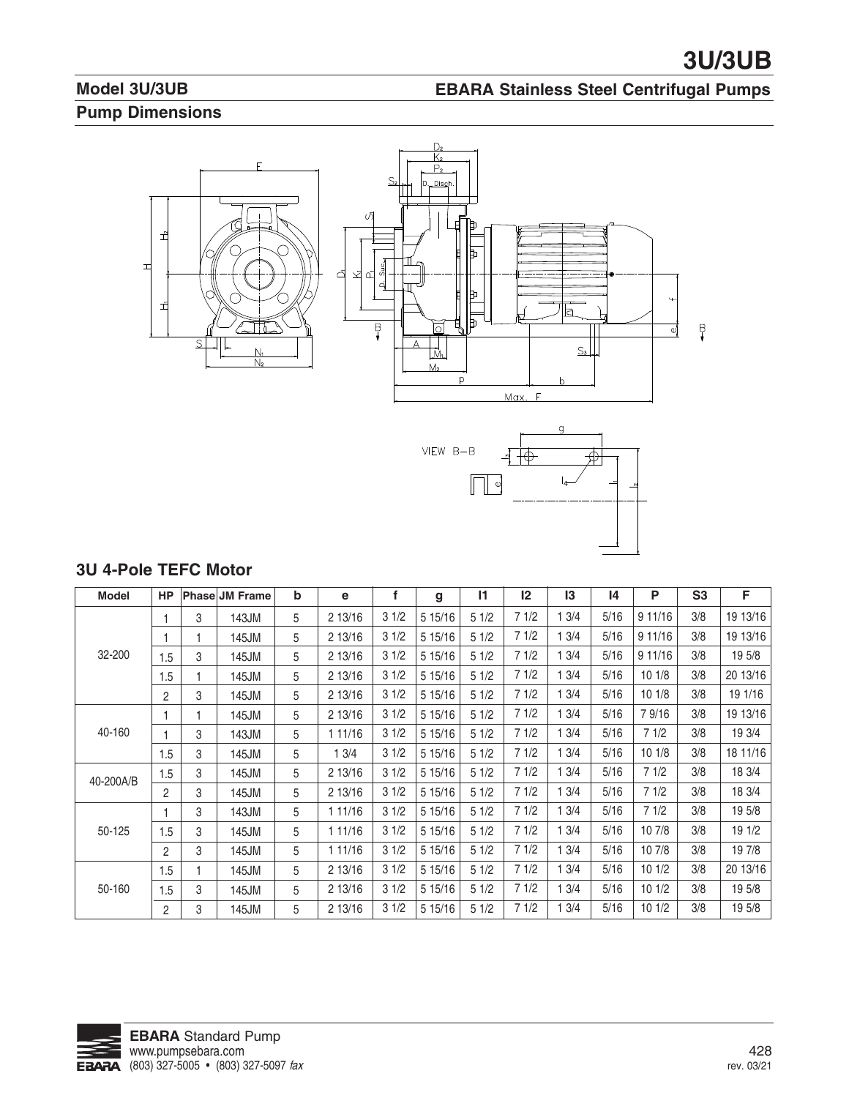## **Model 3U/3UB Pump Dimensions**

#### **EBARA Stainless Steel Centrifugal Pumps**



 $\begin{array}{|c|c|} \hline \multicolumn{3}{|}{\textbf{0}} & \multicolumn{3}{|}{\textbf{0}} \\ \hline \multicolumn{3}{|}{\textbf{0}} & \multicolumn{3}{|}{\textbf{0}} \\ \hline \multicolumn{3}{|}{\textbf{0}} & \multicolumn{3}{|}{\textbf{0}} \\ \hline \multicolumn{3}{|}{\textbf{0}} & \multicolumn{3}{|}{\textbf{0}} \\ \hline \multicolumn{3}{|}{\textbf{0}} & \multicolumn{3}{|}{\textbf{0}} \\ \hline \multicolumn{3}{|}{\textbf{0}} & \multicolumn{3}{|}{\textbf{0}}$ 

## **3U 4-Pole TEFC Motor**

| <b>Model</b> | <b>HP</b>      |   | <b>Phase JM Frame</b> | b | е       | f    | g       | $\mathsf{I}$ | 12   | 13   | 14   | P       | S <sub>3</sub> | F        |
|--------------|----------------|---|-----------------------|---|---------|------|---------|--------------|------|------|------|---------|----------------|----------|
|              |                | 3 | 143JM                 | 5 | 2 13/16 | 31/2 | 5 15/16 | 51/2         | 71/2 | 13/4 | 5/16 | 9 11/16 | 3/8            | 19 13/16 |
|              |                |   | 145JM                 | 5 | 2 13/16 | 31/2 | 5 15/16 | 51/2         | 71/2 | 13/4 | 5/16 | 9 11/16 | 3/8            | 19 13/16 |
| 32-200       | 1.5            | 3 | 145JM                 | 5 | 2 13/16 | 31/2 | 5 15/16 | 51/2         | 71/2 | 13/4 | 5/16 | 911/16  | 3/8            | 19 5/8   |
|              | 1.5            |   | 145JM                 | 5 | 2 13/16 | 31/2 | 5 15/16 | 51/2         | 71/2 | 13/4 | 5/16 | 101/8   | 3/8            | 20 13/16 |
|              | 2              | 3 | 145JM                 | 5 | 2 13/16 | 31/2 | 5 15/16 | 51/2         | 71/2 | 13/4 | 5/16 | 101/8   | 3/8            | 19 1/16  |
|              |                |   | 145JM                 | 5 | 2 13/16 | 31/2 | 5 15/16 | 51/2         | 71/2 | 13/4 | 5/16 | 79/16   | 3/8            | 19 13/16 |
| 40-160       |                | 3 | 143JM                 | 5 | 1 11/16 | 31/2 | 5 15/16 | 51/2         | 71/2 | 13/4 | 5/16 | 71/2    | 3/8            | 19 3/4   |
|              | 1.5            | 3 | 145JM                 | 5 | 13/4    | 31/2 | 5 15/16 | 51/2         | 71/2 | 13/4 | 5/16 | 101/8   | 3/8            | 18 11/16 |
| 40-200A/B    | 1.5            | 3 | 145JM                 | 5 | 2 13/16 | 31/2 | 5 15/16 | 51/2         | 71/2 | 13/4 | 5/16 | 71/2    | 3/8            | 18 3/4   |
|              | $\overline{2}$ | 3 | 145JM                 | 5 | 2 13/16 | 31/2 | 5 15/16 | 51/2         | 71/2 | 13/4 | 5/16 | 71/2    | 3/8            | 18 3/4   |
|              |                | 3 | 143JM                 | 5 | 1 11/16 | 31/2 | 5 15/16 | 51/2         | 71/2 | 13/4 | 5/16 | 71/2    | 3/8            | 19 5/8   |
| 50-125       | 1.5            | 3 | 145JM                 | 5 | 1 11/16 | 31/2 | 5 15/16 | 51/2         | 71/2 | 13/4 | 5/16 | 10 7/8  | 3/8            | 19 1/2   |
|              | $\overline{2}$ | 3 | 145JM                 | 5 | 1 11/16 | 31/2 | 5 15/16 | 51/2         | 71/2 | 13/4 | 5/16 | 10 7/8  | 3/8            | 19 7/8   |
|              | 1.5            |   | 145JM                 | 5 | 2 13/16 | 31/2 | 5 15/16 | 51/2         | 71/2 | 13/4 | 5/16 | 101/2   | 3/8            | 20 13/16 |
| 50-160       | 1.5            | 3 | 145JM                 | 5 | 2 13/16 | 31/2 | 5 15/16 | 51/2         | 71/2 | 13/4 | 5/16 | 101/2   | 3/8            | 19 5/8   |
|              | $\overline{2}$ | 3 | 145JM                 | 5 | 2 13/16 | 31/2 | 5 15/16 | 51/2         | 71/2 | 13/4 | 5/16 | 101/2   | 3/8            | 19 5/8   |

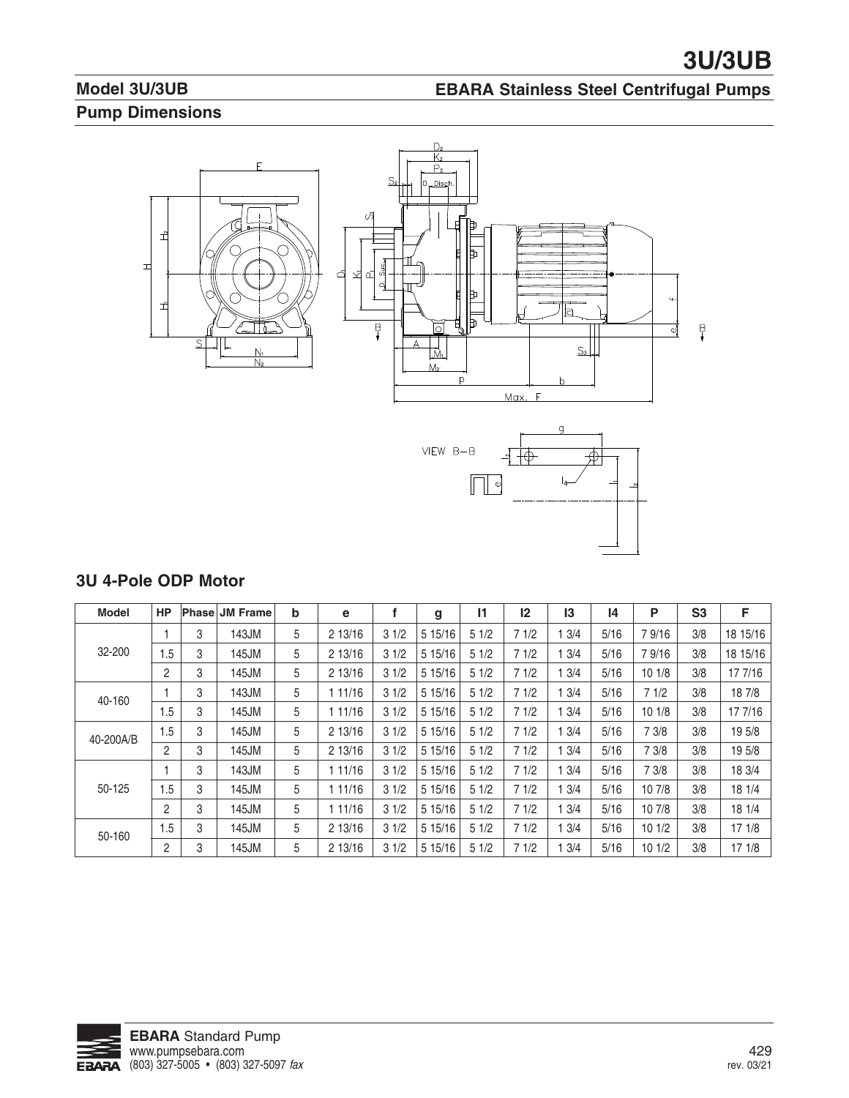## **Model 3U/3UB Pump Dimensions**

#### **EBARA Stainless Steel Centrifugal Pumps**



#### **3U 4-Pole ODP Motor**

| <b>Model</b> | <b>HP</b>      |   | <b>Phase JM Frame</b> | b | e       |      | g       | 11   | 12   | 13   | 14   | Р      | S <sub>3</sub> | F        |
|--------------|----------------|---|-----------------------|---|---------|------|---------|------|------|------|------|--------|----------------|----------|
|              |                | 3 | 143JM                 | 5 | 2 13/16 | 31/2 | 5 15/16 | 51/2 | 71/2 | 3/4  | 5/16 | 79/16  | 3/8            | 18 15/16 |
| 32-200       | .5             | 3 | 145JM                 | 5 | 2 13/16 | 31/2 | 5 15/16 | 51/2 | 71/2 | 3/4  | 5/16 | 79/16  | 3/8            | 18 15/16 |
|              | 2              | 3 | 145JM                 | 5 | 2 13/16 | 31/2 | 5 15/16 | 51/2 | 71/2 | 3/4  | 5/16 | 10 1/8 | 3/8            | 17 7/16  |
| 40-160       |                | 3 | 143JM                 | 5 | 11/16   | 31/2 | 5 15/16 | 51/2 | 71/2 | 3/4  | 5/16 | 71/2   | 3/8            | 18 7/8   |
|              | 1.5            | 3 | 145JM                 | 5 | 11/16   | 31/2 | 5 15/16 | 51/2 | 71/2 | 3/4  | 5/16 | 101/8  | 3/8            | 17 7/16  |
| 40-200A/B    | 1.5            | 3 | 145JM                 | 5 | 2 13/16 | 31/2 | 5 15/16 | 51/2 | 71/2 | 3/4  | 5/16 | 7 3/8  | 3/8            | 19 5/8   |
|              | $\overline{2}$ | 3 | 145JM                 | 5 | 2 13/16 | 31/2 | 5 15/16 | 51/2 | 71/2 | 3/4  | 5/16 | 7 3/8  | 3/8            | 19 5/8   |
|              |                | 3 | 143JM                 | 5 | 11/16   | 31/2 | 5 15/16 | 51/2 | 71/2 | 3/4  | 5/16 | 7 3/8  | 3/8            | 18 3/4   |
| 50-125       | 1.5            | 3 | 145JM                 | 5 | 11/16   | 31/2 | 5 15/16 | 51/2 | 71/2 | 3/4  | 5/16 | 10 7/8 | 3/8            | 18 1/4   |
|              | $\overline{c}$ | 3 | 145JM                 | 5 | 1 11/16 | 31/2 | 5 15/16 | 51/2 | 71/2 | 13/4 | 5/16 | 10 7/8 | 3/8            | 18 1/4   |
| 50-160       | 1.5            | 3 | 145JM                 | 5 | 2 13/16 | 31/2 | 5 15/16 | 51/2 | 71/2 | 13/4 | 5/16 | 101/2  | 3/8            | 171/8    |
|              | 2              | 3 | 145JM                 | 5 | 2 13/16 | 31/2 | 5 15/16 | 51/2 | 71/2 | 3/4  | 5/16 | 101/2  | 3/8            | 171/8    |

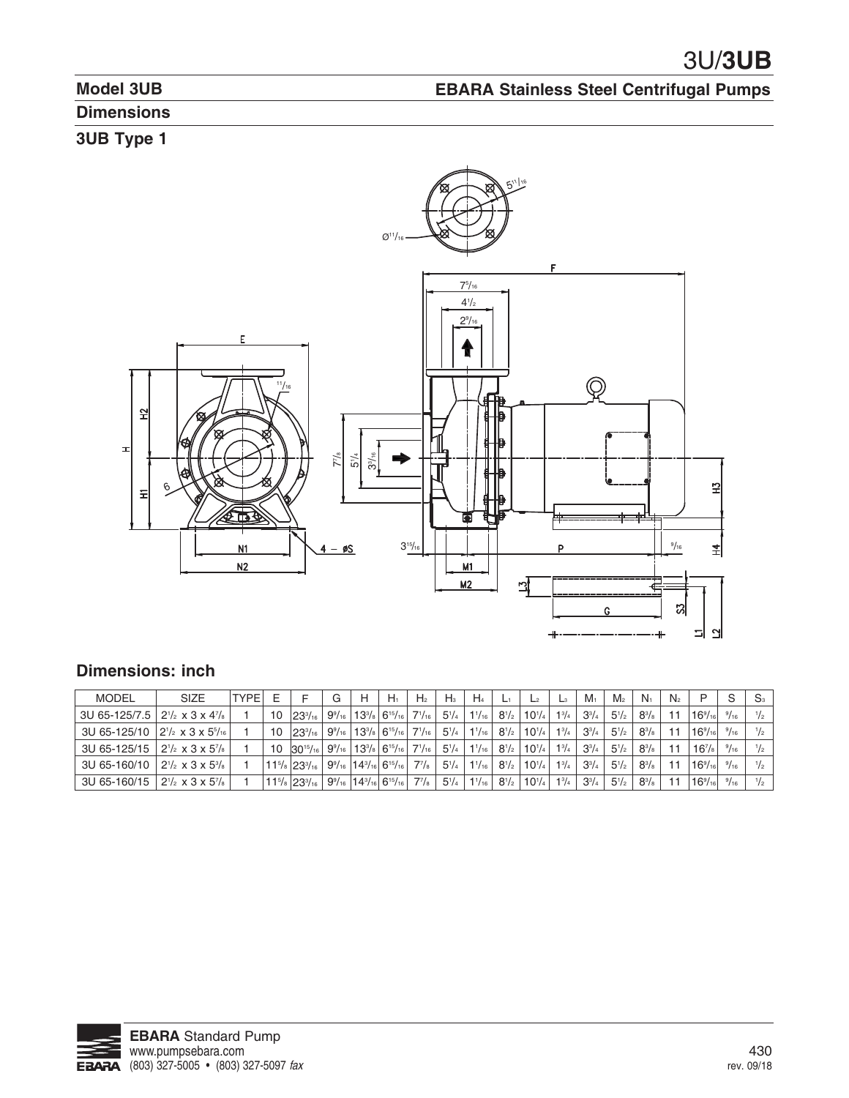**EBARA Stainless Steel Centrifugal Pumps**

# **Model 3UB**

# **Dimensions**

# **3UB Type 1**



## **Dimensions: inch**

| <b>MODEL</b>                                      | <b>SIZE</b>                                    | <b>TYPE</b> |    |                                           | G | н | $H_1$                                                                                   | H <sub>2</sub> | $H_3$        | $H_4$           | -            | L <sup>2</sup> | $\mathsf{L}_3$ | $M_1$        | M <sub>2</sub> | $N_1$        | N <sub>2</sub>          |                   | S            | S <sub>3</sub> |
|---------------------------------------------------|------------------------------------------------|-------------|----|-------------------------------------------|---|---|-----------------------------------------------------------------------------------------|----------------|--------------|-----------------|--------------|----------------|----------------|--------------|----------------|--------------|-------------------------|-------------------|--------------|----------------|
| 3U 65-125/7.5 $ 2^{1/2} \times 3 \times 4^{7/8}$  |                                                |             | 10 | $ 23^{3}/_{16} $                          |   |   | $9\%$   13 <sup>3</sup> / <sub>8</sub>   6 <sup>15</sup> / <sub>16</sub>                | $7^{1}/_{16}$  | $5^{1}/_{4}$ | $1^{1/16}$      | $8^{1}/_{2}$ | $10^{1/4}$     | $1\frac{3}{4}$ | $3^{3}/_{4}$ | $5^{1}/2$      | $8^{3}/_{8}$ |                         | $16\frac{9}{16}$  | 9/16         |                |
| 3U 65-125/10 $ 2^{1/2} \times 3 \times 5^{5/16} $ |                                                |             | 10 | $23^{3}/_{16}$                            |   |   | $9\%$   13 <sup>3</sup> / <sub>8</sub>   6 <sup>15</sup> / <sub>16</sub>                | $7^{1}/_{16}$  | $5^{1}/_{4}$ | $1\frac{1}{16}$ | $8^{1/2}$    | $10^{1/4}$     | $1^{3}/_{4}$   | $3^{3}/_{4}$ | $5^{1}/2$      | $8^{3}/_{8}$ | ، ۱                     | $16\frac{9}{16}$  | 9/16         |                |
| 3U 65-125/15                                      | $12^{1/2}$ x 3 x 5 <sup>7</sup> / <sub>8</sub> |             | 10 | $30^{15}/_{16}$                           |   |   | $9\%$   13 <sup>3</sup> / <sub>8</sub>   6 <sup>15</sup> / <sub>16</sub>                | $7^{1}/_{16}$  | $5^{1}/_{4}$ | $1^{1/16}$      | $8^{1/2}$    | $10^{1/4}$     | $1^{3}/_{4}$   | $3^{3}/_{4}$ | $5^{1}/2$      | $8^{3}/_{8}$ | $\overline{\mathbf{1}}$ | $16^{7/s}$        | 9/16         |                |
| 3U 65-160/10                                      | $2^{1/2}$ x 3 x $5^{3/8}$                      |             |    | $11^{5}/\mathrm{s}$ 23 $\frac{3}{16}$     |   |   | $9\%$ <sub>16</sub>   14 <sup>3</sup> / <sub>16</sub>   6 <sup>15</sup> / <sub>16</sub> | $7^{7}/_8$     | $5^{1}/_{4}$ | $1^{1}/_{16}$ . | $8^{1/2}$    | $10^{1/4}$     | $1^{3}/_{4}$   | $3^{3}/_{4}$ | $5^{1}/2$      | $8^{3}/_{8}$ |                         | $16\frac{9}{161}$ | $^{9}/_{16}$ |                |
| 3U 65-160/15                                      | $2^{1/2}$ x 3 x 5 <sup>7</sup> / <sub>8</sub>  |             |    | $11^{5}/\mathrm{s}$ 23 $^{3}/\mathrm{16}$ |   |   | $9\%$ <sub>16</sub>   14 <sup>3</sup> / <sub>16</sub>   6 <sup>15</sup> / <sub>16</sub> | $7^{7}/_8$     | $5^{1}/_{4}$ | $1^{1/16}$      | $8^{1/2}$    | $10^{1/4}$     | $1^{3}/_{4}$   | $3^{3}/4$    | $5^{1}/2$      | $8^{3}/_{8}$ |                         | $16\frac{9}{16}$  | $^{9}/_{16}$ | $^{1}/_{2}$    |